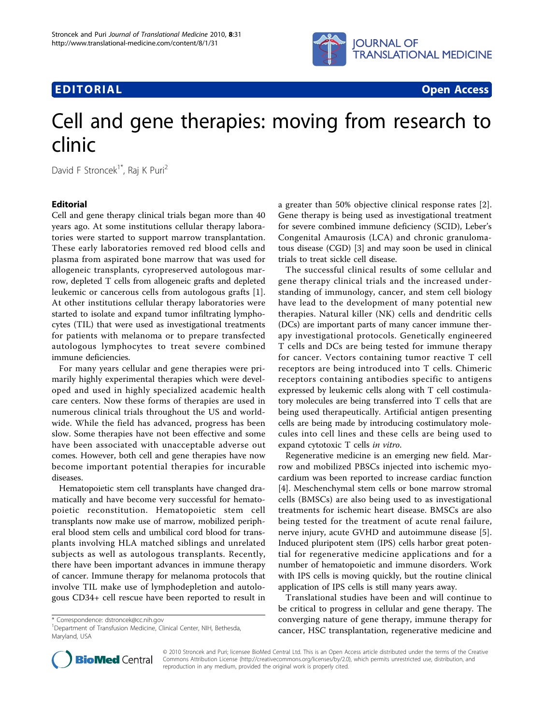



# Cell and gene therapies: moving from research to clinic

David F Stroncek<sup>1\*</sup>, Raj K Puri<sup>2</sup>

## Editorial

Cell and gene therapy clinical trials began more than 40 years ago. At some institutions cellular therapy laboratories were started to support marrow transplantation. These early laboratories removed red blood cells and plasma from aspirated bone marrow that was used for allogeneic transplants, cyropreserved autologous marrow, depleted T cells from allogeneic grafts and depleted leukemic or cancerous cells from autologous grafts [\[1](#page-1-0)]. At other institutions cellular therapy laboratories were started to isolate and expand tumor infiltrating lymphocytes (TIL) that were used as investigational treatments for patients with melanoma or to prepare transfected autologous lymphocytes to treat severe combined immune deficiencies.

For many years cellular and gene therapies were primarily highly experimental therapies which were developed and used in highly specialized academic health care centers. Now these forms of therapies are used in numerous clinical trials throughout the US and worldwide. While the field has advanced, progress has been slow. Some therapies have not been effective and some have been associated with unacceptable adverse out comes. However, both cell and gene therapies have now become important potential therapies for incurable diseases.

Hematopoietic stem cell transplants have changed dramatically and have become very successful for hematopoietic reconstitution. Hematopoietic stem cell transplants now make use of marrow, mobilized peripheral blood stem cells and umbilical cord blood for transplants involving HLA matched siblings and unrelated subjects as well as autologous transplants. Recently, there have been important advances in immune therapy of cancer. Immune therapy for melanoma protocols that involve TIL make use of lymphodepletion and autologous CD34+ cell rescue have been reported to result in

\* Correspondence: [dstroncek@cc.nih.gov](mailto:dstroncek@cc.nih.gov)

<sup>1</sup>Department of Transfusion Medicine, Clinical Center, NIH, Bethesda, Maryland, USA



The successful clinical results of some cellular and gene therapy clinical trials and the increased understanding of immunology, cancer, and stem cell biology have lead to the development of many potential new therapies. Natural killer (NK) cells and dendritic cells (DCs) are important parts of many cancer immune therapy investigational protocols. Genetically engineered T cells and DCs are being tested for immune therapy for cancer. Vectors containing tumor reactive T cell receptors are being introduced into T cells. Chimeric receptors containing antibodies specific to antigens expressed by leukemic cells along with T cell costimulatory molecules are being transferred into T cells that are being used therapeutically. Artificial antigen presenting cells are being made by introducing costimulatory molecules into cell lines and these cells are being used to expand cytotoxic T cells in vitro.

Regenerative medicine is an emerging new field. Marrow and mobilized PBSCs injected into ischemic myocardium was been reported to increase cardiac function [[4\]](#page-1-0). Meschenchymal stem cells or bone marrow stromal cells (BMSCs) are also being used to as investigational treatments for ischemic heart disease. BMSCs are also being tested for the treatment of acute renal failure, nerve injury, acute GVHD and autoimmune disease [\[5](#page-1-0)]. Induced pluripotent stem (IPS) cells harbor great potential for regenerative medicine applications and for a number of hematopoietic and immune disorders. Work with IPS cells is moving quickly, but the routine clinical application of IPS cells is still many years away.

Translational studies have been and will continue to be critical to progress in cellular and gene therapy. The converging nature of gene therapy, immune therapy for cancer, HSC transplantation, regenerative medicine and



© 2010 Stroncek and Puri; licensee BioMed Central Ltd. This is an Open Access article distributed under the terms of the Creative Commons Attribution License [\(http://creativecommons.org/licenses/by/2.0](http://creativecommons.org/licenses/by/2.0)), which permits unrestricted use, distribution, and reproduction in any medium, provided the original work is properly cited.